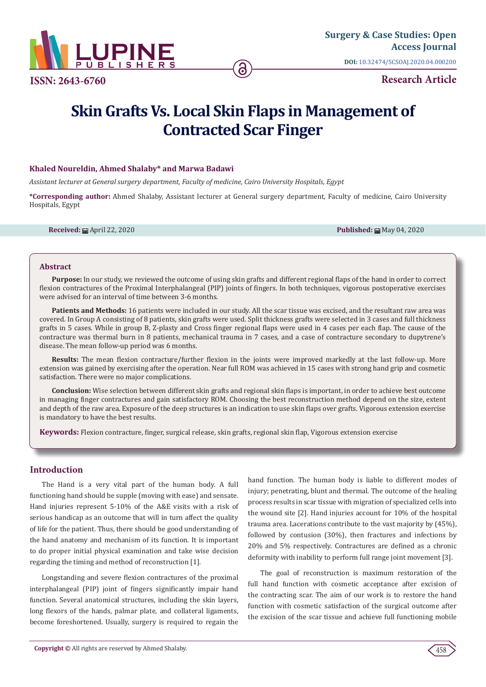

**ISSN: 2643-6760**

**Research Article**

# **Skin Grafts Vs. Local Skin Flaps in Management of Contracted Scar Finger**

### **Khaled Noureldin, Ahmed Shalaby\* and Marwa Badawi**

*Assistant lecturer at General surgery department, Faculty of medicine, Cairo University Hospitals, Egypt*

**\*Corresponding author:** Ahmed Shalaby, Assistant lecturer at General surgery department, Faculty of medicine, Cairo University Hospitals, Egypt

**Received:** ■ April 22, 2020 **Published:** ■ May 04, 2020 **Published:** ■ May 04, 2020

#### **Abstract**

**Purpose:** In our study, we reviewed the outcome of using skin grafts and different regional flaps of the hand in order to correct flexion contractures of the Proximal Interphalangeal (PIP) joints of fingers. In both techniques, vigorous postoperative exercises were advised for an interval of time between 3-6 months.

**Patients and Methods:** 16 patients were included in our study. All the scar tissue was excised, and the resultant raw area was covered. In Group A consisting of 8 patients, skin grafts were used. Split thickness grafts were selected in 3 cases and full thickness grafts in 5 cases. While in group B, Z-plasty and Cross finger regional flaps were used in 4 cases per each flap. The cause of the contracture was thermal burn in 8 patients, mechanical trauma in 7 cases, and a case of contracture secondary to dupytrene's disease. The mean follow-up period was 6 months.

**Results:** The mean flexion contracture/further flexion in the joints were improved markedly at the last follow-up. More extension was gained by exercising after the operation. Near full ROM was achieved in 15 cases with strong hand grip and cosmetic satisfaction. There were no major complications.

**Conclusion:** Wise selection between different skin grafts and regional skin flaps is important, in order to achieve best outcome in managing finger contractures and gain satisfactory ROM. Choosing the best reconstruction method depend on the size, extent and depth of the raw area. Exposure of the deep structures is an indication to use skin flaps over grafts. Vigorous extension exercise is mandatory to have the best results.

**Keywords:** Flexion contracture, finger, surgical release, skin grafts, regional skin flap, Vigorous extension exercise

## **Introduction**

The Hand is a very vital part of the human body. A full functioning hand should be supple (moving with ease) and sensate. Hand injuries represent 5-10% of the A&E visits with a risk of serious handicap as an outcome that will in turn affect the quality of life for the patient. Thus, there should be good understanding of the hand anatomy and mechanism of its function. It is important to do proper initial physical examination and take wise decision regarding the timing and method of reconstruction [1].

Longstanding and severe flexion contractures of the proximal interphalangeal (PIP) joint of fingers significantly impair hand function. Several anatomical structures, including the skin layers, long flexors of the hands, palmar plate, and collateral ligaments, become foreshortened. Usually, surgery is required to regain the hand function. The human body is liable to different modes of injury; penetrating, blunt and thermal. The outcome of the healing process results in scar tissue with migration of specialized cells into the wound site [2]. Hand injuries account for 10% of the hospital trauma area. Lacerations contribute to the vast majority by (45%), followed by contusion (30%), then fractures and infections by 20% and 5% respectively. Contractures are defined as a chronic deformity with inability to perform full range joint movement [3].

The goal of reconstruction is maximum restoration of the full hand function with cosmetic acceptance after excision of the contracting scar. The aim of our work is to restore the hand function with cosmetic satisfaction of the surgical outcome after the excision of the scar tissue and achieve full functioning mobile

458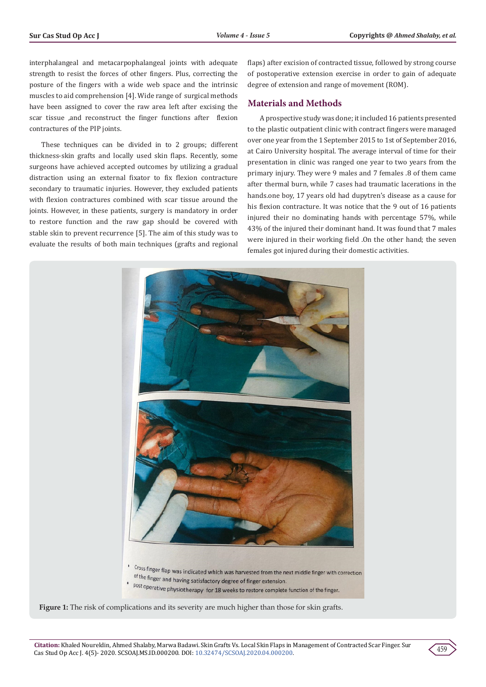interphalangeal and metacarpophalangeal joints with adequate strength to resist the forces of other fingers. Plus, correcting the posture of the fingers with a wide web space and the intrinsic muscles to aid comprehension [4]. Wide range of surgical methods have been assigned to cover the raw area left after excising the scar tissue ,and reconstruct the finger functions after flexion contractures of the PIP joints.

These techniques can be divided in to 2 groups; different thickness-skin grafts and locally used skin flaps. Recently, some surgeons have achieved accepted outcomes by utilizing a gradual distraction using an external fixator to fix flexion contracture secondary to traumatic injuries. However, they excluded patients with flexion contractures combined with scar tissue around the joints. However, in these patients, surgery is mandatory in order to restore function and the raw gap should be covered with stable skin to prevent recurrence [5]. The aim of this study was to evaluate the results of both main techniques (grafts and regional

flaps) after excision of contracted tissue, followed by strong course of postoperative extension exercise in order to gain of adequate degree of extension and range of movement (ROM).

## **Materials and Methods**

A prospective study was done; it included 16 patients presented to the plastic outpatient clinic with contract fingers were managed over one year from the 1 September 2015 to 1st of September 2016, at Cairo University hospital. The average interval of time for their presentation in clinic was ranged one year to two years from the primary injury. They were 9 males and 7 females .8 of them came after thermal burn, while 7 cases had traumatic lacerations in the hands.one boy, 17 years old had dupytren's disease as a cause for his flexion contracture. It was notice that the 9 out of 16 patients injured their no dominating hands with percentage 57%, while 43% of the injured their dominant hand. It was found that 7 males were injured in their working field .On the other hand; the seven females got injured during their domestic activities.





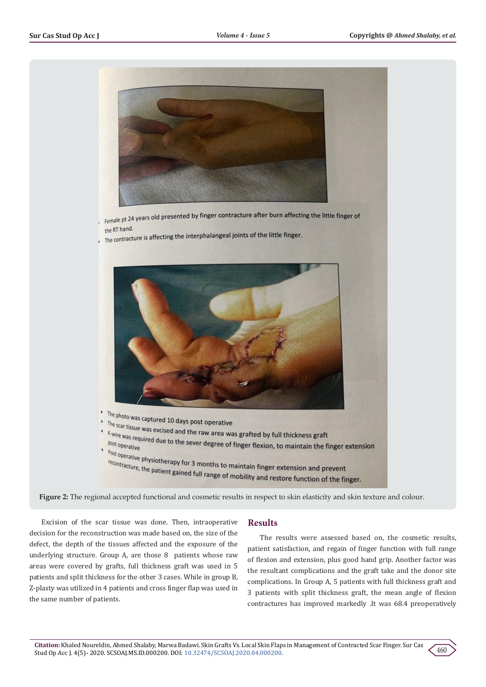

Female pt 24 years old presented by finger contracture after burn affecting the little finger of the RT hand.

the RT hand.<br>The contracture is affecting the interphalangeal joints of the little finger.





Excision of the scar tissue was done. Then, intraoperative decision for the reconstruction was made based on, the size of the defect, the depth of the tissues affected and the exposure of the underlying structure. Group A, are those 8 patients whose raw areas were covered by grafts, full thickness graft was used in 5 patients and split thickness for the other 3 cases. While in group B, Z-plasty was utilized in 4 patients and cross finger flap was used in the same number of patients.

## **Results**

The results were assessed based on, the cosmetic results, patient satisfaction, and regain of finger function with full range of flexion and extension, plus good hand grip. Another factor was the resultant complications and the graft take and the donor site complications. In Group A, 5 patients with full thickness graft and 3 patients with split thickness graft, the mean angle of flexion contractures has improved markedly .It was 68.4 preoperatively

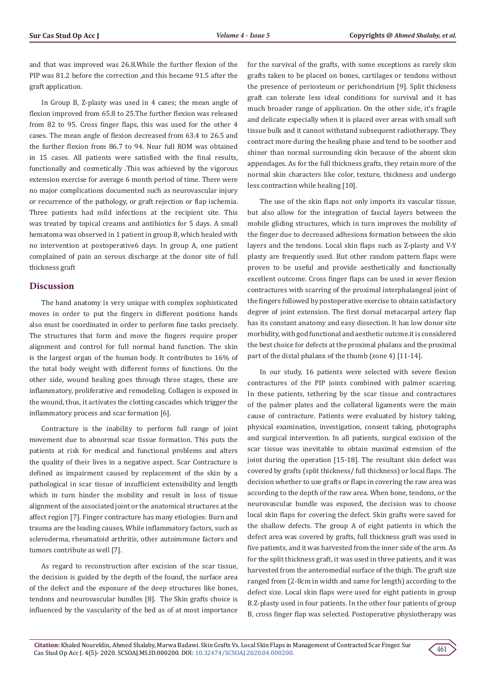and that was improved was 26.8.While the further flexion of the PIP was 81.2 before the correction ,and this became 91.5 after the graft application.

In Group B, Z-plasty was used in 4 cases; the mean angle of flexion improved from 65.8 to 25.The further flexion was released from 82 to 95. Cross finger flaps, this was used for the other 4 cases. The mean angle of flexion decreased from 63.4 to 26.5 and the further flexion from 86.7 to 94. Near full ROM was obtained in 15 cases. All patients were satisfied with the final results, functionally and cosmetically .This was achieved by the vigorous extension exercise for average 6 month period of time. There were no major complications documented such as neurovascular injury or recurrence of the pathology, or graft rejection or flap ischemia. Three patients had mild infections at the recipient site. This was treated by topical creams and antibiotics for 5 days. A small hematoma was observed in 1 patient in group B, which healed with no intervention at postoperative6 days. In group A, one patient complained of pain an serous discharge at the donor site of full thickness graft

#### **Discussion**

The hand anatomy is very unique with complex sophisticated moves in order to put the fingers in different positions hands also must be coordinated in order to perform fine tasks precisely. The structures that form and move the fingers require proper alignment and control for full normal hand function. The skin is the largest organ of the human body. It contributes to 16% of the total body weight with different forms of functions. On the other side, wound healing goes through three stages, these are inflammatory, proliferative and remodeling. Collagen is exposed in the wound, thus, it activates the clotting cascades which trigger the inflammatory process and scar formation [6].

Contracture is the inability to perform full range of joint movement due to abnormal scar tissue formation. This puts the patients at risk for medical and functional problems and alters the quality of their lives in a negative aspect. Scar Contracture is defined as impairment caused by replacement of the skin by a pathological in scar tissue of insufficient extensibility and length which in turn hinder the mobility and result in loss of tissue alignment of the associated joint or the anatomical structures at the affect region [7]. Finger contracture has many etiologies: Burn and trauma are the leading causes, While inflammatory factors, such as scleroderma, rheumatoid arthritis, other autoimmune factors and tumors contribute as well [7].

As regard to reconstruction after excision of the scar tissue, the decision is guided by the depth of the found, the surface area of the defect and the exposure of the deep structures like bones, tendons and neurovascular bundles [8]. The Skin grafts choice is influenced by the vascularity of the bed as of at most importance

for the survival of the grafts, with some exceptions as rarely skin grafts taken to be placed on bones, cartilages or tendons without the presence of periosteum or perichondrium [9]. Split thickness graft can tolerate less ideal conditions for survival and it has much broader range of application. On the other side, it's fragile and delicate especially when it is placed over areas with small soft tissue bulk and it cannot withstand subsequent radiotherapy. They contract more during the healing phase and tend to be soother and shiner than normal surrounding skin because of the absent skin appendages. As for the full thickness grafts, they retain more of the normal skin characters like color, texture, thickness and undergo less contraction while healing [10].

The use of the skin flaps not only imports its vascular tissue, but also allow for the integration of fascial layers between the mobile gliding structures, which in turn improves the mobility of the finger due to decreased adhesions formation between the skin layers and the tendons. Local skin flaps such as Z-plasty and V-Y plasty are frequently used. But other random pattern flaps were proven to be useful and provide aesthetically and functionally excellent outcome. Cross finger flaps can be used in sever flexion contractures with scarring of the proximal interphalangeal joint of the fingers followed by postoperative exercise to obtain satisfactory degree of joint extension. The first dorsal metacarpal artery flap has its constant anatomy and easy dissection. It has low donor site morbidity, with god functional and aesthetic outcme.it is considered the best choice for defects at the proximal phalanx and the proximal part of the distal phalanx of the thumb (zone 4) [11-14].

In our study, 16 patients were selected with severe flexion contractures of the PIP joints combined with palmer scarring. In these patients, tethering by the scar tissue and contractures of the palmer plates and the collateral ligaments were the main cause of contracture. Patients were evaluated by history taking, physical examination, investigation, consent taking, photographs and surgical intervention. In all patients, surgical excision of the scar tissue was inevitable to obtain maximal extension of the joint during the operation [15-18]. The resultant skin defect was covered by grafts (split thickness/ full thickness) or local flaps. The decision whether to use grafts or flaps in covering the raw area was according to the depth of the raw area. When bone, tendons, or the neurovascular bundle was exposed, the decision was to choose local skin flaps for covering the defect. Skin grafts were saved for the shallow defects. The group A of eight patients in which the defect area was covered by grafts, full thickness graft was used in five patients, and it was harvested from the inner side of the arm. As for the split thickness graft, it was used in three patients, and it was harvested from the anteromedial surface of the thigh. The graft size ranged from (2-8cm in width and same for length) according to the defect size. Local skin flaps were used for eight patients in group B.Z-plasty used in four patients. In the other four patients of group B, cross finger flap was selected. Postoperative physiotherapy was

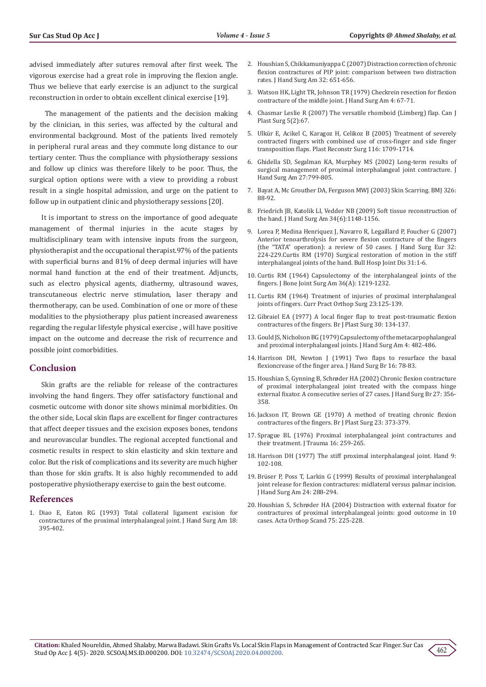advised immediately after sutures removal after first week. The vigorous exercise had a great role in improving the flexion angle. Thus we believe that early exercise is an adjunct to the surgical reconstruction in order to obtain excellent clinical exercise [19].

 The management of the patients and the decision making by the clinician, in this series, was affected by the cultural and environmental background. Most of the patients lived remotely in peripheral rural areas and they commute long distance to our tertiary center. Thus the compliance with physiotherapy sessions and follow up clinics was therefore likely to be poor. Thus, the surgical option options were with a view to providing a robust result in a single hospital admission, and urge on the patient to follow up in outpatient clinic and physiotherapy sessions [20].

It is important to stress on the importance of good adequate management of thermal injuries in the acute stages by multidisciplinary team with intensive inputs from the surgeon, physiotherapist and the occupational therapist.97% of the patients with superficial burns and 81% of deep dermal injuries will have normal hand function at the end of their treatment. Adjuncts, such as electro physical agents, diathermy, ultrasound waves, transcutaneous electric nerve stimulation, laser therapy and thermotherapy, can be used. Combination of one or more of these modalities to the physiotherapy plus patient increased awareness regarding the regular lifestyle physical exercise , will have positive impact on the outcome and decrease the risk of recurrence and possible joint comorbidities.

#### **Conclusion**

Skin grafts are the reliable for release of the contractures involving the hand fingers. They offer satisfactory functional and cosmetic outcome with donor site shows minimal morbidities. On the other side, Local skin flaps are excellent for finger contractures that affect deeper tissues and the excision exposes bones, tendons and neurovascular bundles. The regional accepted functional and cosmetic results in respect to skin elasticity and skin texture and color. But the risk of complications and its severity are much higher than those for skin grafts. It is also highly recommended to add postoperative physiotherapy exercise to gain the best outcome.

## **References**

1. [Diao E, Eaton RG \(1993\) Total collateral ligament excision for](https://www.sciencedirect.com/science/article/pii/036350239390081D)  [contractures of the proximal interphalangeal joint. J Hand Surg Am 18:](https://www.sciencedirect.com/science/article/pii/036350239390081D)  [395-402.](https://www.sciencedirect.com/science/article/pii/036350239390081D)

- 2. [Houshian S, Chikkamuniyappa C \(2007\) Distraction correction of chronic](https://www.ncbi.nlm.nih.gov/pubmed/17482004) [flexion contractures of PIP joint: comparison between two distraction](https://www.ncbi.nlm.nih.gov/pubmed/17482004) [rates. J Hand Surg Am 32: 651-656.](https://www.ncbi.nlm.nih.gov/pubmed/17482004)
- 3. [Watson HK, Light TR, Johnson TR \(1979\) Checkrein resection for flexion](https://www.ncbi.nlm.nih.gov/pubmed/759506) [contracture of the middle joint. J Hand Surg Am 4: 67-71.](https://www.ncbi.nlm.nih.gov/pubmed/759506)
- 4. [Chasmar Leslie R \(2007\) The versatile rhomboid \(Limberg\) flap. Can J](https://www.ncbi.nlm.nih.gov/pubmed/19554188) [Plast Surg 5\(2\):67](https://www.ncbi.nlm.nih.gov/pubmed/19554188).
- 5. [Ulkür E, Acikel C, Karagoz H, Celikoz B \(2005\) Treatment of severely](https://www.ncbi.nlm.nih.gov/pubmed/16267435) [contracted fingers with combined use of cross-finger and side finger](https://www.ncbi.nlm.nih.gov/pubmed/16267435) [transposition flaps. Plast Reconstr Surg 116: 1709-1714](https://www.ncbi.nlm.nih.gov/pubmed/16267435).
- 6. [Ghidella SD, Segalman KA, Murphey MS \(2002\) Long-term results of](https://www.ncbi.nlm.nih.gov/pubmed/12239667) [surgical management of proximal interphalangeal joint contracture. J](https://www.ncbi.nlm.nih.gov/pubmed/12239667) [Hand Surg Am 27:799-805.](https://www.ncbi.nlm.nih.gov/pubmed/12239667)
- 7. Bayat A, Mc Grouther DA, Ferguson MWJ (2003) Skin Scarring. BMJ 326: 88-92.
- 8. [Friedrich JB, Katolik LI, Vedder NB \(2009\) Soft tissue reconstruction of](https://www.ncbi.nlm.nih.gov/pubmed/19643296) [the hand. J Hand Surg Am 34\(6\):1148-1156.](https://www.ncbi.nlm.nih.gov/pubmed/19643296)
- 9. [Lorea P, Medina Henriquez J, Navarro R, Legaillard P, Foucher G \(2007\)](https://www.ncbi.nlm.nih.gov/pubmed/17197065) [Anterior tenoarthrolysis for severe flexion contracture of the fingers](https://www.ncbi.nlm.nih.gov/pubmed/17197065) [\(the "TATA" operation\): a review of 50 cases. J Hand Surg Eur 32:](https://www.ncbi.nlm.nih.gov/pubmed/17197065) [224-229.](https://www.ncbi.nlm.nih.gov/pubmed/17197065)[Curtis RM \(1970\) Surgical restoration of motion in the stiff](https://www.ncbi.nlm.nih.gov/pubmed/5449920) [interphalangeal joints of the hand. Bull Hosp Joint Dis 31:1-6.](https://www.ncbi.nlm.nih.gov/pubmed/5449920)
- 10. Curtis RM (1964) Capsulectomy of the interphalangeal joints of the fingers. J Bone Joint Surg Am 36(A): 1219-1232.
- 11. [Curtis RM \(1964\) Treatment of injuries of proximal interphalangeal](https://www.ncbi.nlm.nih.gov/pubmed/14282210) [joints of fingers. Curr Pract Orthop Surg 23:125-139.](https://www.ncbi.nlm.nih.gov/pubmed/14282210)
- 12. [Gibraiel EA \(1977\) A local finger flap to treat post-traumatic flexion](https://www.ncbi.nlm.nih.gov/pubmed/322776) [contractures of the fingers. Br J Plast Surg 30: 134-137.](https://www.ncbi.nlm.nih.gov/pubmed/322776)
- 13. [Gould JS, Nicholson BG \(1979\) Capsulectomy of the metacarpophalangeal](https://www.ncbi.nlm.nih.gov/pubmed/501064) [and proximal interphalangeal joints. J Hand Surg Am 4: 482-486.](https://www.ncbi.nlm.nih.gov/pubmed/501064)
- 14. [Harrison DH, Newton J \(1991\) Two flaps to resurface the basal](https://www.ncbi.nlm.nih.gov/pubmed/2007822) [flexioncrease of the finger area. J Hand Surg Br 16: 78-83.](https://www.ncbi.nlm.nih.gov/pubmed/2007822)
- 15. [Houshian S, Gynning B, Schrøder HA \(2002\) Chronic flexion contracture](https://www.ncbi.nlm.nih.gov/pubmed/12162976) [of proximal interphalangeal joint treated with the compass hinge](https://www.ncbi.nlm.nih.gov/pubmed/12162976) [external fixator. A consecutive series of 27 cases. J Hand Surg Br 27: 356-](https://www.ncbi.nlm.nih.gov/pubmed/12162976) [358.](https://www.ncbi.nlm.nih.gov/pubmed/12162976)
- 16. [Jackson IT, Brown GE \(1970\) A method of treating chronic flexion](https://www.sciencedirect.com/science/article/abs/pii/S0007122670800789) [contractures of the fingers. Br J Plast Surg 23: 373-379.](https://www.sciencedirect.com/science/article/abs/pii/S0007122670800789)
- 17. [Sprague BL \(1976\) Proximal interphalangeal joint contractures and](https://www.ncbi.nlm.nih.gov/pubmed/1263285) [their treatment. J Trauma 16: 259-265.](https://www.ncbi.nlm.nih.gov/pubmed/1263285)
- 18. [Harrison DH \(1977\) The stiff proximal interphalangeal joint. Hand 9:](https://www.sciencedirect.com/science/article/abs/pii/S0072968X77800028) [102-108.](https://www.sciencedirect.com/science/article/abs/pii/S0072968X77800028)
- 19. Brü[ser P, Poss T, Larkin G \(1999\) Results of proximal interphalangeal](https://www.ncbi.nlm.nih.gov/pubmed/10194012) [joint release for flexion contractures: midlateral versus palmar incision.](https://www.ncbi.nlm.nih.gov/pubmed/10194012) [J Hand Surg Am 24: 288-294.](https://www.ncbi.nlm.nih.gov/pubmed/10194012)
- 20. [Houshian S, Schrøder HA \(2004\) Distraction with external fixator for](https://www.ncbi.nlm.nih.gov/pubmed/15180240) [contractures of proximal interphalangeal joints: good outcome in 10](https://www.ncbi.nlm.nih.gov/pubmed/15180240) [cases. Acta Orthop Scand 75: 225-228.](https://www.ncbi.nlm.nih.gov/pubmed/15180240)